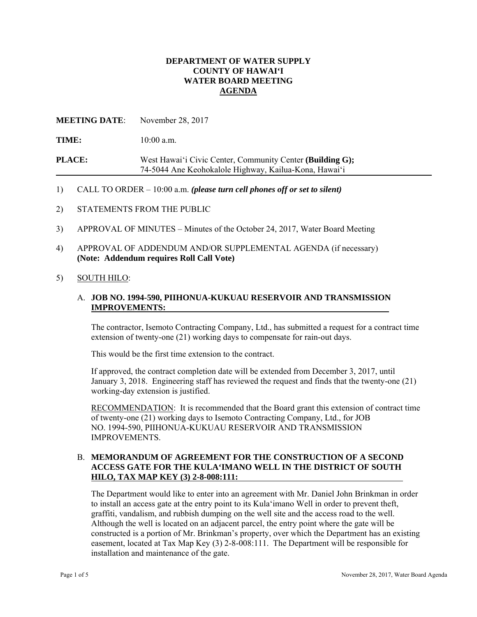## **DEPARTMENT OF WATER SUPPLY COUNTY OF HAWAI'I WATER BOARD MEETING AGENDA**

## **MEETING DATE**: November 28, 2017

TIME:  $10:00$  a.m.

**PLACE:** West Hawai'i Civic Center, Community Center **(Building G);**  74-5044 Ane Keohokalole Highway, Kailua-Kona, Hawai'i

#### 1) CALL TO ORDER – 10:00 a.m. *(please turn cell phones off or set to silent)*

- 2) STATEMENTS FROM THE PUBLIC
- 3) APPROVAL OF MINUTES Minutes of the October 24, 2017, Water Board Meeting
- 4) APPROVAL OF ADDENDUM AND/OR SUPPLEMENTAL AGENDA (if necessary) **(Note: Addendum requires Roll Call Vote)**

#### 5) SOUTH HILO:

## **IMPROVEMENTS:** A. **JOB NO. 1994-590, PIIHONUA-KUKUAU RESERVOIR AND TRANSMISSION**

The contractor, Isemoto Contracting Company, Ltd., has submitted a request for a contract time extension of twenty-one (21) working days to compensate for rain-out days.

This would be the first time extension to the contract.

If approved, the contract completion date will be extended from December 3, 2017, until January 3, 2018. Engineering staff has reviewed the request and finds that the twenty-one (21) working-day extension is justified.

RECOMMENDATION: It is recommended that the Board grant this extension of contract time of twenty-one (21) working days to Isemoto Contracting Company, Ltd., for JOB NO. 1994-590, PIIHONUA-KUKUAU RESERVOIR AND TRANSMISSION IMPROVEMENTS.

#### B. **MEMORANDUM OF AGREEMENT FOR THE CONSTRUCTION OF A SECOND ACCESS GATE FOR THE KULA'IMANO WELL IN THE DISTRICT OF SOUTH HILO, TAX MAP KEY (3) 2-8-008:111:**

 Although the well is located on an adjacent parcel, the entry point where the gate will be The Department would like to enter into an agreement with Mr. Daniel John Brinkman in order to install an access gate at the entry point to its Kula'imano Well in order to prevent theft, graffiti, vandalism, and rubbish dumping on the well site and the access road to the well. constructed is a portion of Mr. Brinkman's property, over which the Department has an existing easement, located at Tax Map Key (3) 2-8-008:111. The Department will be responsible for installation and maintenance of the gate.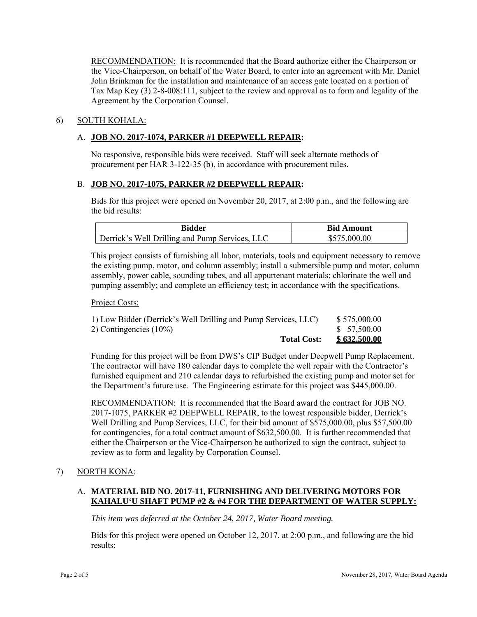RECOMMENDATION: It is recommended that the Board authorize either the Chairperson or the Vice-Chairperson, on behalf of the Water Board, to enter into an agreement with Mr. Daniel John Brinkman for the installation and maintenance of an access gate located on a portion of Tax Map Key (3) 2-8-008:111, subject to the review and approval as to form and legality of the Agreement by the Corporation Counsel.

## 6) SOUTH KOHALA:

## A. **JOB NO. 2017-1074, PARKER #1 DEEPWELL REPAIR:**

No responsive, responsible bids were received. Staff will seek alternate methods of procurement per HAR 3-122-35 (b), in accordance with procurement rules.

#### B. **JOB NO. 2017-1075, PARKER #2 DEEPWELL REPAIR:**

Bids for this project were opened on November 20, 2017, at 2:00 p.m., and the following are the bid results:

| Bidder                                         | <b>Bid Amount</b> |
|------------------------------------------------|-------------------|
| Derrick's Well Drilling and Pump Services, LLC | \$575,000.00      |

This project consists of furnishing all labor, materials, tools and equipment necessary to remove the existing pump, motor, and column assembly; install a submersible pump and motor, column assembly, power cable, sounding tubes, and all appurtenant materials; chlorinate the well and pumping assembly; and complete an efficiency test; in accordance with the specifications.

#### Project Costs:

| <b>Total Cost:</b>                                             | \$632,500.00 |
|----------------------------------------------------------------|--------------|
| 2) Contingencies $(10\%)$                                      | \$ 57,500.00 |
| 1) Low Bidder (Derrick's Well Drilling and Pump Services, LLC) | \$575,000.00 |

Funding for this project will be from DWS's CIP Budget under Deepwell Pump Replacement. The contractor will have 180 calendar days to complete the well repair with the Contractor's furnished equipment and 210 calendar days to refurbished the existing pump and motor set for the Department's future use. The Engineering estimate for this project was \$445,000.00.

RECOMMENDATION: It is recommended that the Board award the contract for JOB NO. 2017-1075, PARKER #2 DEEPWELL REPAIR, to the lowest responsible bidder, Derrick's Well Drilling and Pump Services, LLC, for their bid amount of \$575,000.00, plus \$57,500.00 for contingencies, for a total contract amount of \$632,500.00. It is further recommended that either the Chairperson or the Vice-Chairperson be authorized to sign the contract, subject to review as to form and legality by Corporation Counsel.

#### 7) NORTH KONA:

## A. **MATERIAL BID NO. 2017-11, FURNISHING AND DELIVERING MOTORS FOR KAHALU'U SHAFT PUMP #2 & #4 FOR THE DEPARTMENT OF WATER SUPPLY:**

*This item was deferred at the October 24, 2017, Water Board meeting.* 

Bids for this project were opened on October 12, 2017, at 2:00 p.m., and following are the bid results: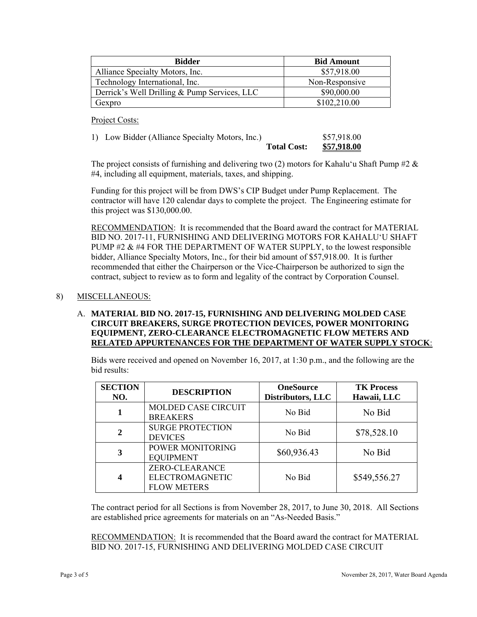| <b>Bidder</b>                                | <b>Bid Amount</b> |
|----------------------------------------------|-------------------|
| Alliance Specialty Motors, Inc.              | \$57,918.00       |
| Technology International, Inc.               | Non-Responsive    |
| Derrick's Well Drilling & Pump Services, LLC | \$90,000.00       |
| Gexpro                                       | \$102,210.00      |

Project Costs:

| 1) Low Bidder (Alliance Specialty Motors, Inc.) |                    | \$57,918.00        |
|-------------------------------------------------|--------------------|--------------------|
|                                                 | <b>Total Cost:</b> | <b>\$57,918.00</b> |

The project consists of furnishing and delivering two (2) motors for Kahalu'u Shaft Pump #2  $\&$ #4, including all equipment, materials, taxes, and shipping.

Funding for this project will be from DWS's CIP Budget under Pump Replacement. The contractor will have 120 calendar days to complete the project. The Engineering estimate for this project was \$130,000.00.

RECOMMENDATION: It is recommended that the Board award the contract for MATERIAL BID NO. 2017-11, FURNISHING AND DELIVERING MOTORS FOR KAHALUʻU SHAFT PUMP #2  $\&$  #4 FOR THE DEPARTMENT OF WATER SUPPLY, to the lowest responsible bidder, Alliance Specialty Motors, Inc., for their bid amount of \$57,918.00. It is further recommended that either the Chairperson or the Vice-Chairperson be authorized to sign the contract, subject to review as to form and legality of the contract by Corporation Counsel.

## 8) MISCELLANEOUS:

## A. **MATERIAL BID NO. 2017-15, FURNISHING AND DELIVERING MOLDED CASE CIRCUIT BREAKERS, SURGE PROTECTION DEVICES, POWER MONITORING EQUIPMENT, ZERO-CLEARANCE ELECTROMAGNETIC FLOW METERS AND RELATED APPURTENANCES FOR THE DEPARTMENT OF WATER SUPPLY STOCK**:

Bids were received and opened on November 16, 2017, at 1:30 p.m., and the following are the bid results:

| <b>SECTION</b><br>NO. | <b>DESCRIPTION</b>                                      | <b>OneSource</b><br>Distributors, LLC | <b>TK Process</b><br>Hawaii, LLC |
|-----------------------|---------------------------------------------------------|---------------------------------------|----------------------------------|
|                       | <b>MOLDED CASE CIRCUIT</b><br><b>BREAKERS</b>           | No Bid                                | No Bid                           |
| $\mathbf{2}$          | <b>SURGE PROTECTION</b><br><b>DEVICES</b>               | No Bid                                | \$78,528.10                      |
|                       | POWER MONITORING<br><b>EQUIPMENT</b>                    | \$60,936.43                           | No Bid                           |
|                       | ZERO-CLEARANCE<br>ELECTROMAGNETIC<br><b>FLOW METERS</b> | No Bid                                | \$549,556.27                     |

The contract period for all Sections is from November 28, 2017, to June 30, 2018. All Sections are established price agreements for materials on an "As-Needed Basis."

RECOMMENDATION: It is recommended that the Board award the contract for MATERIAL BID NO. 2017-15, FURNISHING AND DELIVERING MOLDED CASE CIRCUIT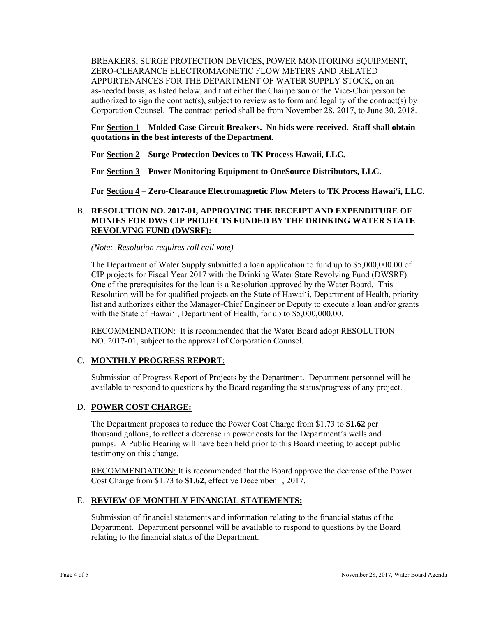BREAKERS, SURGE PROTECTION DEVICES, POWER MONITORING EQUIPMENT, ZERO-CLEARANCE ELECTROMAGNETIC FLOW METERS AND RELATED APPURTENANCES FOR THE DEPARTMENT OF WATER SUPPLY STOCK, on an as-needed basis, as listed below, and that either the Chairperson or the Vice-Chairperson be authorized to sign the contract(s), subject to review as to form and legality of the contract(s) by Corporation Counsel. The contract period shall be from November 28, 2017, to June 30, 2018.

**For Section 1 – Molded Case Circuit Breakers. No bids were received. Staff shall obtain quotations in the best interests of the Department.** 

**For Section 2 – Surge Protection Devices to TK Process Hawaii, LLC.** 

**For Section 3 – Power Monitoring Equipment to OneSource Distributors, LLC.** 

**For Section 4 – Zero-Clearance Electromagnetic Flow Meters to TK Process Hawai'i, LLC.** 

## B. **RESOLUTION NO. 2017-01, APPROVING THE RECEIPT AND EXPENDITURE OF MONIES FOR DWS CIP PROJECTS FUNDED BY THE DRINKING WATER STATE REVOLVING FUND (DWSRF):**

*(Note: Resolution requires roll call vote)* 

The Department of Water Supply submitted a loan application to fund up to \$5,000,000.00 of CIP projects for Fiscal Year 2017 with the Drinking Water State Revolving Fund (DWSRF). One of the prerequisites for the loan is a Resolution approved by the Water Board. This Resolution will be for qualified projects on the State of Hawai'i, Department of Health, priority list and authorizes either the Manager-Chief Engineer or Deputy to execute a loan and/or grants with the State of Hawai'i, Department of Health, for up to \$5,000,000.00.

RECOMMENDATION: It is recommended that the Water Board adopt RESOLUTION NO. 2017-01, subject to the approval of Corporation Counsel.

#### C. **MONTHLY PROGRESS REPORT**:

Submission of Progress Report of Projects by the Department. Department personnel will be available to respond to questions by the Board regarding the status/progress of any project.

#### D. **POWER COST CHARGE:**

The Department proposes to reduce the Power Cost Charge from \$1.73 to **\$1.62** per thousand gallons, to reflect a decrease in power costs for the Department's wells and pumps. A Public Hearing will have been held prior to this Board meeting to accept public testimony on this change.

RECOMMENDATION: It is recommended that the Board approve the decrease of the Power Cost Charge from \$1.73 to **\$1.62**, effective December 1, 2017.

#### E. **REVIEW OF MONTHLY FINANCIAL STATEMENTS:**

Submission of financial statements and information relating to the financial status of the Department. Department personnel will be available to respond to questions by the Board relating to the financial status of the Department.